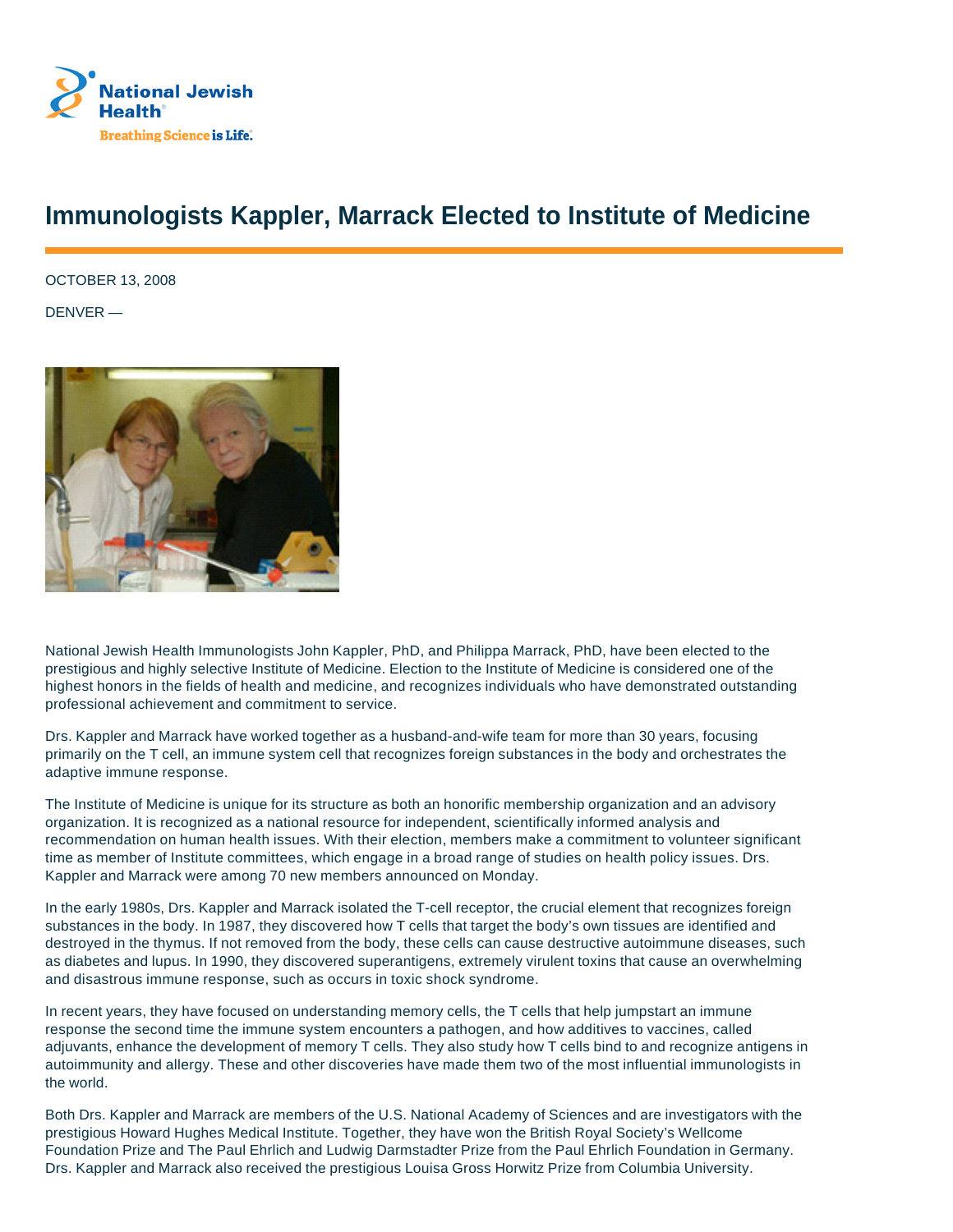

## **Immunologists Kappler, Marrack Elected to Institute of Medicine**

OCTOBER 13, 2008

DENVER —



National Jewish Health Immunologists John Kappler, PhD, and Philippa Marrack, PhD, have been elected to the prestigious and highly selective Institute of Medicine. Election to the Institute of Medicine is considered one of the highest honors in the fields of health and medicine, and recognizes individuals who have demonstrated outstanding professional achievement and commitment to service.

Drs. Kappler and Marrack have worked together as a husband-and-wife team for more than 30 years, focusing primarily on the T cell, an immune system cell that recognizes foreign substances in the body and orchestrates the adaptive immune response.

The Institute of Medicine is unique for its structure as both an honorific membership organization and an advisory organization. It is recognized as a national resource for independent, scientifically informed analysis and recommendation on human health issues. With their election, members make a commitment to volunteer significant time as member of Institute committees, which engage in a broad range of studies on health policy issues. Drs. Kappler and Marrack were among 70 new members announced on Monday.

In the early 1980s, Drs. Kappler and Marrack isolated the T-cell receptor, the crucial element that recognizes foreign substances in the body. In 1987, they discovered how T cells that target the body's own tissues are identified and destroyed in the thymus. If not removed from the body, these cells can cause destructive autoimmune diseases, such as diabetes and lupus. In 1990, they discovered superantigens, extremely virulent toxins that cause an overwhelming and disastrous immune response, such as occurs in toxic shock syndrome.

In recent years, they have focused on understanding memory cells, the T cells that help jumpstart an immune response the second time the immune system encounters a pathogen, and how additives to vaccines, called adjuvants, enhance the development of memory T cells. They also study how T cells bind to and recognize antigens in autoimmunity and allergy. These and other discoveries have made them two of the most influential immunologists in the world.

Both Drs. Kappler and Marrack are members of the U.S. National Academy of Sciences and are investigators with the prestigious Howard Hughes Medical Institute. Together, they have won the British Royal Society's Wellcome Foundation Prize and The Paul Ehrlich and Ludwig Darmstadter Prize from the Paul Ehrlich Foundation in Germany. Drs. Kappler and Marrack also received the prestigious Louisa Gross Horwitz Prize from Columbia University.